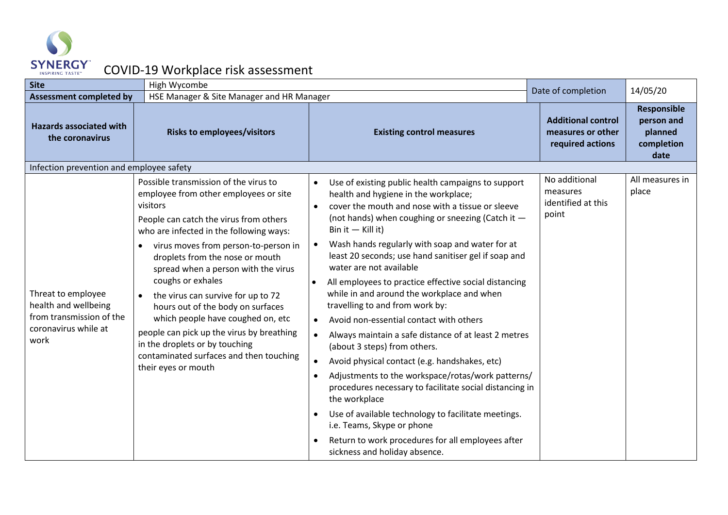

## SYNERGY COVID-19 Workplace risk assessment

| <b>Site</b>                                                                                            | High Wycombe                                                                                                                                                                                                                                                                                                                                                                                                                                                                                                                                                                                         |                                                                                                                                                                                                                                                                                                                                                                                                                                                                                                                                                                                                                                                                                                                                                                                                                                                                                                                                                                                                                                                                                                       |                                                                    | 14/05/20                                                          |
|--------------------------------------------------------------------------------------------------------|------------------------------------------------------------------------------------------------------------------------------------------------------------------------------------------------------------------------------------------------------------------------------------------------------------------------------------------------------------------------------------------------------------------------------------------------------------------------------------------------------------------------------------------------------------------------------------------------------|-------------------------------------------------------------------------------------------------------------------------------------------------------------------------------------------------------------------------------------------------------------------------------------------------------------------------------------------------------------------------------------------------------------------------------------------------------------------------------------------------------------------------------------------------------------------------------------------------------------------------------------------------------------------------------------------------------------------------------------------------------------------------------------------------------------------------------------------------------------------------------------------------------------------------------------------------------------------------------------------------------------------------------------------------------------------------------------------------------|--------------------------------------------------------------------|-------------------------------------------------------------------|
| <b>Assessment completed by</b>                                                                         |                                                                                                                                                                                                                                                                                                                                                                                                                                                                                                                                                                                                      | Date of completion<br>HSE Manager & Site Manager and HR Manager                                                                                                                                                                                                                                                                                                                                                                                                                                                                                                                                                                                                                                                                                                                                                                                                                                                                                                                                                                                                                                       |                                                                    |                                                                   |
| <b>Hazards associated with</b><br>the coronavirus                                                      | <b>Risks to employees/visitors</b>                                                                                                                                                                                                                                                                                                                                                                                                                                                                                                                                                                   | <b>Existing control measures</b>                                                                                                                                                                                                                                                                                                                                                                                                                                                                                                                                                                                                                                                                                                                                                                                                                                                                                                                                                                                                                                                                      | <b>Additional control</b><br>measures or other<br>required actions | <b>Responsible</b><br>person and<br>planned<br>completion<br>date |
| Infection prevention and employee safety                                                               |                                                                                                                                                                                                                                                                                                                                                                                                                                                                                                                                                                                                      |                                                                                                                                                                                                                                                                                                                                                                                                                                                                                                                                                                                                                                                                                                                                                                                                                                                                                                                                                                                                                                                                                                       |                                                                    |                                                                   |
| Threat to employee<br>health and wellbeing<br>from transmission of the<br>coronavirus while at<br>work | Possible transmission of the virus to<br>employee from other employees or site<br>visitors<br>People can catch the virus from others<br>who are infected in the following ways:<br>virus moves from person-to-person in<br>droplets from the nose or mouth<br>spread when a person with the virus<br>coughs or exhales<br>the virus can survive for up to 72<br>$\bullet$<br>hours out of the body on surfaces<br>which people have coughed on, etc<br>people can pick up the virus by breathing<br>in the droplets or by touching<br>contaminated surfaces and then touching<br>their eyes or mouth | Use of existing public health campaigns to support<br>$\bullet$<br>health and hygiene in the workplace;<br>cover the mouth and nose with a tissue or sleeve<br>(not hands) when coughing or sneezing (Catch it -<br>Bin it $-$ Kill it)<br>Wash hands regularly with soap and water for at<br>$\bullet$<br>least 20 seconds; use hand sanitiser gel if soap and<br>water are not available<br>All employees to practice effective social distancing<br>$\bullet$<br>while in and around the workplace and when<br>travelling to and from work by:<br>Avoid non-essential contact with others<br>$\bullet$<br>Always maintain a safe distance of at least 2 metres<br>$\bullet$<br>(about 3 steps) from others.<br>Avoid physical contact (e.g. handshakes, etc)<br>$\bullet$<br>Adjustments to the workspace/rotas/work patterns/<br>$\bullet$<br>procedures necessary to facilitate social distancing in<br>the workplace<br>Use of available technology to facilitate meetings.<br>i.e. Teams, Skype or phone<br>Return to work procedures for all employees after<br>sickness and holiday absence. | No additional<br>measures<br>identified at this<br>point           | All measures in<br>place                                          |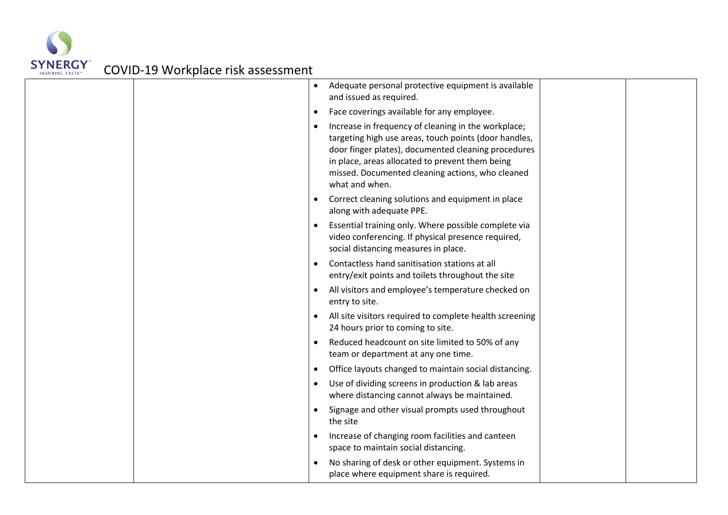

### SYNERGY<br>
COVID-19 Workplace risk assessment

|           | Adequate personal protective equipment is available<br>and issued as required.                                                                                                                                                                                                               |  |
|-----------|----------------------------------------------------------------------------------------------------------------------------------------------------------------------------------------------------------------------------------------------------------------------------------------------|--|
| $\bullet$ | Face coverings available for any employee.                                                                                                                                                                                                                                                   |  |
|           | Increase in frequency of cleaning in the workplace;<br>targeting high use areas, touch points (door handles,<br>door finger plates), documented cleaning procedures<br>in place, areas allocated to prevent them being<br>missed. Documented cleaning actions, who cleaned<br>what and when. |  |
|           | Correct cleaning solutions and equipment in place<br>along with adequate PPE.                                                                                                                                                                                                                |  |
|           | Essential training only. Where possible complete via<br>video conferencing. If physical presence required,<br>social distancing measures in place.                                                                                                                                           |  |
| $\bullet$ | Contactless hand sanitisation stations at all<br>entry/exit points and toilets throughout the site                                                                                                                                                                                           |  |
|           | All visitors and employee's temperature checked on<br>entry to site.                                                                                                                                                                                                                         |  |
|           | All site visitors required to complete health screening<br>24 hours prior to coming to site.                                                                                                                                                                                                 |  |
|           | Reduced headcount on site limited to 50% of any<br>team or department at any one time.                                                                                                                                                                                                       |  |
| $\bullet$ | Office layouts changed to maintain social distancing.                                                                                                                                                                                                                                        |  |
| $\bullet$ | Use of dividing screens in production & lab areas<br>where distancing cannot always be maintained.                                                                                                                                                                                           |  |
|           | Signage and other visual prompts used throughout<br>the site                                                                                                                                                                                                                                 |  |
|           | Increase of changing room facilities and canteen<br>space to maintain social distancing.                                                                                                                                                                                                     |  |
|           | No sharing of desk or other equipment. Systems in<br>place where equipment share is required.                                                                                                                                                                                                |  |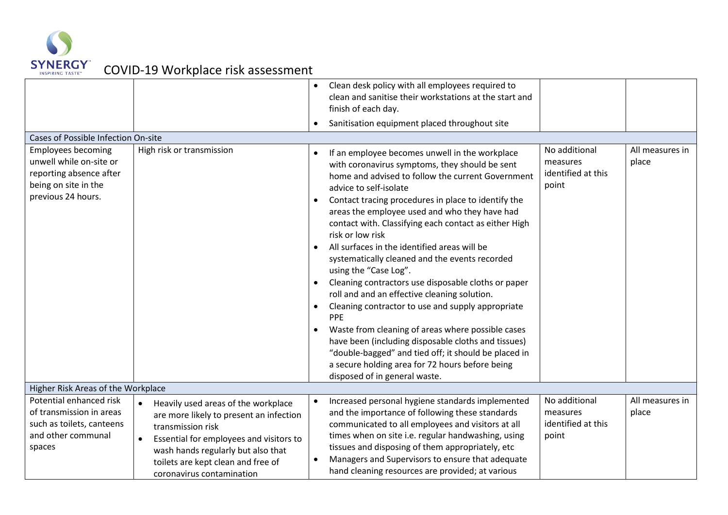

## SYNERGY COVID-19 Workplace risk assessment

|                                                                                                                               |                                                                                                                                                                                                                                                                      | $\bullet$              | Clean desk policy with all employees required to<br>clean and sanitise their workstations at the start and<br>finish of each day.<br>Sanitisation equipment placed throughout site                                                                                                                                                                                                                                                                                                                                                                                                                                                                                                                                                                                                                                                                                                        |                                                          |                          |
|-------------------------------------------------------------------------------------------------------------------------------|----------------------------------------------------------------------------------------------------------------------------------------------------------------------------------------------------------------------------------------------------------------------|------------------------|-------------------------------------------------------------------------------------------------------------------------------------------------------------------------------------------------------------------------------------------------------------------------------------------------------------------------------------------------------------------------------------------------------------------------------------------------------------------------------------------------------------------------------------------------------------------------------------------------------------------------------------------------------------------------------------------------------------------------------------------------------------------------------------------------------------------------------------------------------------------------------------------|----------------------------------------------------------|--------------------------|
| Cases of Possible Infection On-site                                                                                           |                                                                                                                                                                                                                                                                      |                        |                                                                                                                                                                                                                                                                                                                                                                                                                                                                                                                                                                                                                                                                                                                                                                                                                                                                                           |                                                          |                          |
| <b>Employees becoming</b><br>unwell while on-site or<br>reporting absence after<br>being on site in the<br>previous 24 hours. | High risk or transmission                                                                                                                                                                                                                                            | $\bullet$              | If an employee becomes unwell in the workplace<br>with coronavirus symptoms, they should be sent<br>home and advised to follow the current Government<br>advice to self-isolate<br>Contact tracing procedures in place to identify the<br>areas the employee used and who they have had<br>contact with. Classifying each contact as either High<br>risk or low risk<br>All surfaces in the identified areas will be<br>systematically cleaned and the events recorded<br>using the "Case Log".<br>Cleaning contractors use disposable cloths or paper<br>roll and and an effective cleaning solution.<br>Cleaning contractor to use and supply appropriate<br>PPE<br>Waste from cleaning of areas where possible cases<br>have been (including disposable cloths and tissues)<br>"double-bagged" and tied off; it should be placed in<br>a secure holding area for 72 hours before being | No additional<br>measures<br>identified at this<br>point | All measures in<br>place |
| Higher Risk Areas of the Workplace                                                                                            |                                                                                                                                                                                                                                                                      |                        | disposed of in general waste.                                                                                                                                                                                                                                                                                                                                                                                                                                                                                                                                                                                                                                                                                                                                                                                                                                                             |                                                          |                          |
| Potential enhanced risk<br>of transmission in areas<br>such as toilets, canteens<br>and other communal<br>spaces              | Heavily used areas of the workplace<br>are more likely to present an infection<br>transmission risk<br>Essential for employees and visitors to<br>$\bullet$<br>wash hands regularly but also that<br>toilets are kept clean and free of<br>coronavirus contamination | $\bullet$<br>$\bullet$ | Increased personal hygiene standards implemented<br>and the importance of following these standards<br>communicated to all employees and visitors at all<br>times when on site i.e. regular handwashing, using<br>tissues and disposing of them appropriately, etc<br>Managers and Supervisors to ensure that adequate<br>hand cleaning resources are provided; at various                                                                                                                                                                                                                                                                                                                                                                                                                                                                                                                | No additional<br>measures<br>identified at this<br>point | All measures in<br>place |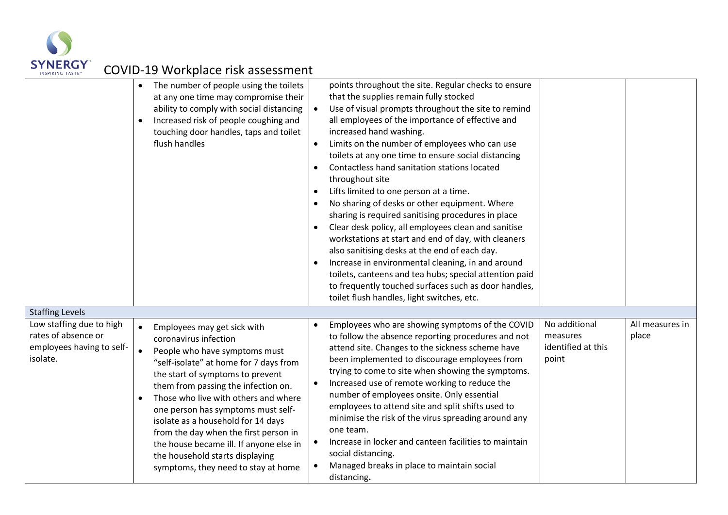

### SYNERGY<sup>"</sup> COVID-19 Workplace risk assessment

|                                                                                                                    | The number of people using the toilets<br>$\bullet$<br>at any one time may compromise their<br>ability to comply with social distancing<br>Increased risk of people coughing and<br>touching door handles, taps and toilet<br>flush handles                                                                                                                                                                                                                                                               | points throughout the site. Regular checks to ensure<br>that the supplies remain fully stocked<br>Use of visual prompts throughout the site to remind<br>all employees of the importance of effective and<br>increased hand washing.<br>Limits on the number of employees who can use<br>$\bullet$<br>toilets at any one time to ensure social distancing<br>Contactless hand sanitation stations located<br>throughout site<br>Lifts limited to one person at a time.<br>$\bullet$<br>No sharing of desks or other equipment. Where<br>$\bullet$<br>sharing is required sanitising procedures in place<br>Clear desk policy, all employees clean and sanitise<br>workstations at start and end of day, with cleaners<br>also sanitising desks at the end of each day.<br>Increase in environmental cleaning, in and around<br>$\bullet$<br>toilets, canteens and tea hubs; special attention paid<br>to frequently touched surfaces such as door handles,<br>toilet flush handles, light switches, etc. |                                                                                      |
|--------------------------------------------------------------------------------------------------------------------|-----------------------------------------------------------------------------------------------------------------------------------------------------------------------------------------------------------------------------------------------------------------------------------------------------------------------------------------------------------------------------------------------------------------------------------------------------------------------------------------------------------|----------------------------------------------------------------------------------------------------------------------------------------------------------------------------------------------------------------------------------------------------------------------------------------------------------------------------------------------------------------------------------------------------------------------------------------------------------------------------------------------------------------------------------------------------------------------------------------------------------------------------------------------------------------------------------------------------------------------------------------------------------------------------------------------------------------------------------------------------------------------------------------------------------------------------------------------------------------------------------------------------------|--------------------------------------------------------------------------------------|
| <b>Staffing Levels</b><br>Low staffing due to high<br>rates of absence or<br>employees having to self-<br>isolate. | Employees may get sick with<br>coronavirus infection<br>People who have symptoms must<br>$\bullet$<br>"self-isolate" at home for 7 days from<br>the start of symptoms to prevent<br>them from passing the infection on.<br>Those who live with others and where<br>one person has symptoms must self-<br>isolate as a household for 14 days<br>from the day when the first person in<br>the house became ill. If anyone else in<br>the household starts displaying<br>symptoms, they need to stay at home | Employees who are showing symptoms of the COVID<br>to follow the absence reporting procedures and not<br>attend site. Changes to the sickness scheme have<br>been implemented to discourage employees from<br>trying to come to site when showing the symptoms.<br>Increased use of remote working to reduce the<br>number of employees onsite. Only essential<br>employees to attend site and split shifts used to<br>minimise the risk of the virus spreading around any<br>one team.<br>Increase in locker and canteen facilities to maintain<br>social distancing.<br>Managed breaks in place to maintain social<br>distancing.                                                                                                                                                                                                                                                                                                                                                                      | No additional<br>All measures in<br>measures<br>place<br>identified at this<br>point |